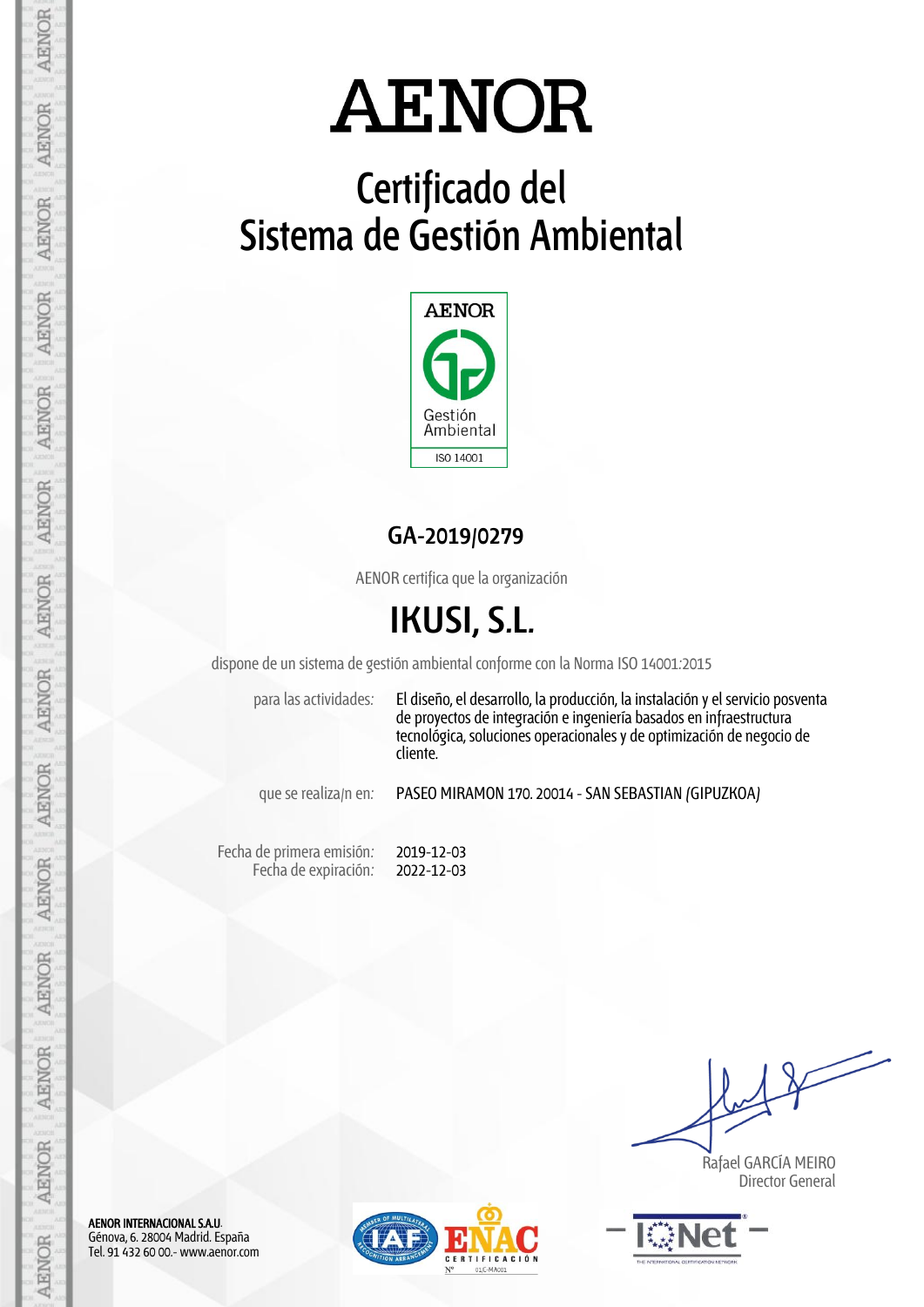## **Certificado del Sistema de Gestión Ambiental**



**GA-2019/0279**

AENOR certifica que la organización

## **IKUSI, S.L.**

dispone de un sistema de gestión ambiental conforme con la Norma ISO 14001:2015

para las actividades: El diseño, el desarrollo, la producción, la instalación y el servicio posventa de proyectos de integración e ingeniería basados en infraestructura tecnológica, soluciones operacionales y de optimización de negocio de cliente.

que se realiza/n en: PASEO MIRAMON 170. 20014 - SAN SEBASTIAN (GIPUZKOA)

Fecha de primera emisión: Fecha de expiración: 2019-12-03 2022-12-03

 Rafael GARCÍA MEIRO Director General



AENOR INTERNACIONAL S.A.U. Génova, 6. 28004 Madrid. España Tel. 91 432 60 00.- www.aenor.com